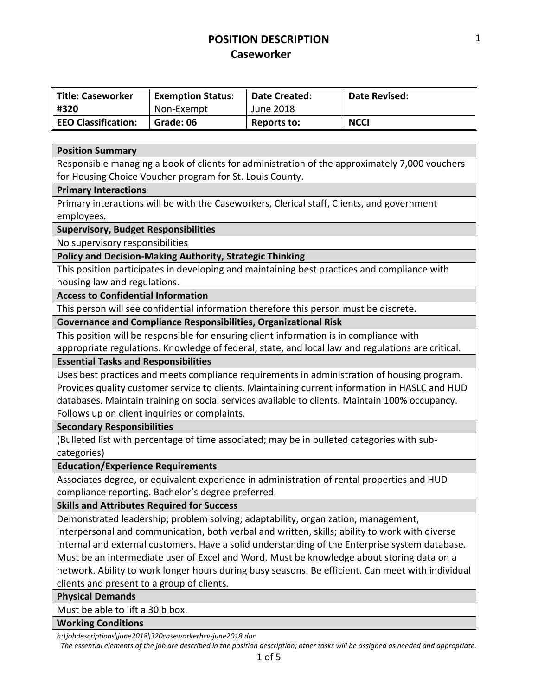| Title: Caseworker   | <b>Exemption Status:</b> | Date Created: | Date Revised: |
|---------------------|--------------------------|---------------|---------------|
| ∥ #320              | Non-Exempt               | June 2018     |               |
| EEO Classification: | Grade: 06                | Reports to:   | <b>NCCI</b>   |

#### **Position Summary**

Responsible managing a book of clients for administration of the approximately 7,000 vouchers for Housing Choice Voucher program for St. Louis County.

#### **Primary Interactions**

Primary interactions will be with the Caseworkers, Clerical staff, Clients, and government employees.

#### **Supervisory, Budget Responsibilities**

No supervisory responsibilities

**Policy and Decision-Making Authority, Strategic Thinking**

This position participates in developing and maintaining best practices and compliance with housing law and regulations.

#### **Access to Confidential Information**

This person will see confidential information therefore this person must be discrete.

**Governance and Compliance Responsibilities, Organizational Risk**

This position will be responsible for ensuring client information is in compliance with appropriate regulations. Knowledge of federal, state, and local law and regulations are critical.

### **Essential Tasks and Responsibilities**

Uses best practices and meets compliance requirements in administration of housing program. Provides quality customer service to clients. Maintaining current information in HASLC and HUD databases. Maintain training on social services available to clients. Maintain 100% occupancy. Follows up on client inquiries or complaints.

#### **Secondary Responsibilities**

(Bulleted list with percentage of time associated; may be in bulleted categories with subcategories)

### **Education/Experience Requirements**

Associates degree, or equivalent experience in administration of rental properties and HUD compliance reporting. Bachelor's degree preferred.

#### **Skills and Attributes Required for Success**

Demonstrated leadership; problem solving; adaptability, organization, management, interpersonal and communication, both verbal and written, skills; ability to work with diverse internal and external customers. Have a solid understanding of the Enterprise system database. Must be an intermediate user of Excel and Word. Must be knowledge about storing data on a network. Ability to work longer hours during busy seasons. Be efficient. Can meet with individual clients and present to a group of clients.

**Physical Demands**

Must be able to lift a 30lb box.

#### **Working Conditions**

*h:\jobdescriptions\june2018\320caseworkerhcv-june2018.doc*

*The essential elements of the job are described in the position description; other tasks will be assigned as needed and appropriate.*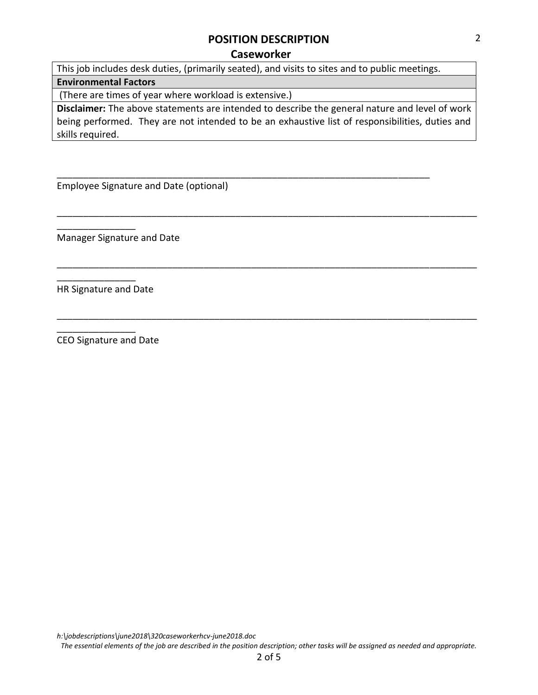# **POSITION DESCRIPTION**

### **Caseworker**

This job includes desk duties, (primarily seated), and visits to sites and to public meetings.

\_\_\_\_\_\_\_\_\_\_\_\_\_\_\_\_\_\_\_\_\_\_\_\_\_\_\_\_\_\_\_\_\_\_\_\_\_\_\_\_\_\_\_\_\_\_\_\_\_\_\_\_\_\_\_\_\_\_\_\_\_\_\_\_\_\_\_\_\_\_\_

# **Environmental Factors**

(There are times of year where workload is extensive.)

**Disclaimer:** The above statements are intended to describe the general nature and level of work being performed. They are not intended to be an exhaustive list of responsibilities, duties and skills required.

\_\_\_\_\_\_\_\_\_\_\_\_\_\_\_\_\_\_\_\_\_\_\_\_\_\_\_\_\_\_\_\_\_\_\_\_\_\_\_\_\_\_\_\_\_\_\_\_\_\_\_\_\_\_\_\_\_\_\_\_\_\_\_\_\_\_\_\_\_\_\_\_\_\_\_\_\_\_\_\_

\_\_\_\_\_\_\_\_\_\_\_\_\_\_\_\_\_\_\_\_\_\_\_\_\_\_\_\_\_\_\_\_\_\_\_\_\_\_\_\_\_\_\_\_\_\_\_\_\_\_\_\_\_\_\_\_\_\_\_\_\_\_\_\_\_\_\_\_\_\_\_\_\_\_\_\_\_\_\_\_

\_\_\_\_\_\_\_\_\_\_\_\_\_\_\_\_\_\_\_\_\_\_\_\_\_\_\_\_\_\_\_\_\_\_\_\_\_\_\_\_\_\_\_\_\_\_\_\_\_\_\_\_\_\_\_\_\_\_\_\_\_\_\_\_\_\_\_\_\_\_\_\_\_\_\_\_\_\_\_\_

Employee Signature and Date (optional)

Manager Signature and Date

HR Signature and Date

\_\_\_\_\_\_\_\_\_\_\_\_\_\_\_

\_\_\_\_\_\_\_\_\_\_\_\_\_\_\_

\_\_\_\_\_\_\_\_\_\_\_\_\_\_\_

CEO Signature and Date

*h:\jobdescriptions\june2018\320caseworkerhcv-june2018.doc*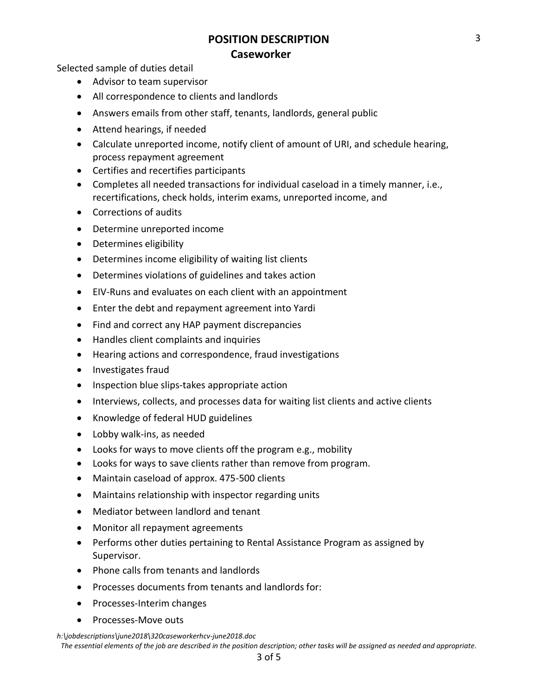Selected sample of duties detail

- Advisor to team supervisor
- All correspondence to clients and landlords
- Answers emails from other staff, tenants, landlords, general public
- Attend hearings, if needed
- Calculate unreported income, notify client of amount of URI, and schedule hearing, process repayment agreement
- Certifies and recertifies participants
- Completes all needed transactions for individual caseload in a timely manner, i.e., recertifications, check holds, interim exams, unreported income, and
- Corrections of audits
- Determine unreported income
- Determines eligibility
- Determines income eligibility of waiting list clients
- Determines violations of guidelines and takes action
- EIV-Runs and evaluates on each client with an appointment
- Enter the debt and repayment agreement into Yardi
- Find and correct any HAP payment discrepancies
- Handles client complaints and inquiries
- Hearing actions and correspondence, fraud investigations
- Investigates fraud
- Inspection blue slips-takes appropriate action
- Interviews, collects, and processes data for waiting list clients and active clients
- Knowledge of federal HUD guidelines
- Lobby walk-ins, as needed
- Looks for ways to move clients off the program e.g., mobility
- Looks for ways to save clients rather than remove from program.
- Maintain caseload of approx. 475-500 clients
- Maintains relationship with inspector regarding units
- Mediator between landlord and tenant
- Monitor all repayment agreements
- Performs other duties pertaining to Rental Assistance Program as assigned by Supervisor.
- Phone calls from tenants and landlords
- Processes documents from tenants and landlords for:
- Processes-Interim changes
- Processes-Move outs

*h:\jobdescriptions\june2018\320caseworkerhcv-june2018.doc*

*The essential elements of the job are described in the position description; other tasks will be assigned as needed and appropriate.*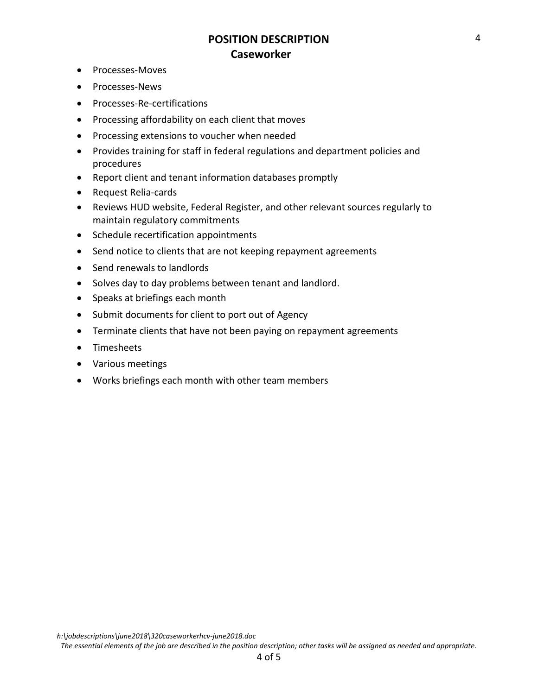- Processes-Moves
- Processes-News
- Processes-Re-certifications
- Processing affordability on each client that moves
- Processing extensions to voucher when needed
- Provides training for staff in federal regulations and department policies and procedures
- Report client and tenant information databases promptly
- Request Relia-cards
- Reviews HUD website, Federal Register, and other relevant sources regularly to maintain regulatory commitments
- Schedule recertification appointments
- Send notice to clients that are not keeping repayment agreements
- Send renewals to landlords
- Solves day to day problems between tenant and landlord.
- Speaks at briefings each month
- Submit documents for client to port out of Agency
- Terminate clients that have not been paying on repayment agreements
- Timesheets
- Various meetings
- Works briefings each month with other team members